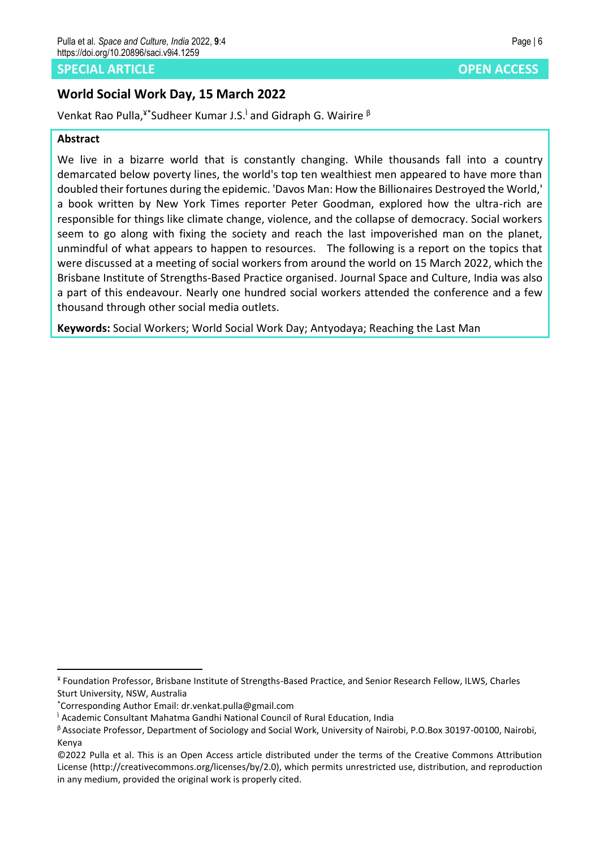# **SPECIAL ARTICLE** *SPECIAL ARTICLE*

# **World Social Work Day, 15 March 2022**

Venkat Rao Pulla,<sup>¥\*</sup>Sudheer Kumar J.S.<sup>i</sup> and Gidraph G. Wairire <sup>β</sup>

# **Abstract**

We live in a bizarre world that is constantly changing. While thousands fall into a country demarcated below poverty lines, the world's top ten wealthiest men appeared to have more than doubled their fortunes during the epidemic. 'Davos Man: How the Billionaires Destroyed the World,' a book written by New York Times reporter Peter Goodman, explored how the ultra-rich are responsible for things like climate change, violence, and the collapse of democracy. Social workers seem to go along with fixing the society and reach the last impoverished man on the planet, unmindful of what appears to happen to resources. The following is a report on the topics that were discussed at a meeting of social workers from around the world on 15 March 2022, which the Brisbane Institute of Strengths-Based Practice organised. Journal Space and Culture, India was also a part of this endeavour. Nearly one hundred social workers attended the conference and a few thousand through other social media outlets.

**Keywords:** Social Workers; World Social Work Day; Antyodaya; Reaching the Last Man

<sup>¥</sup> Foundation Professor, Brisbane Institute of Strengths-Based Practice, and Senior Research Fellow, ILWS, Charles Sturt University, NSW, Australia

<sup>\*</sup>Corresponding Author Email: dr.venkat.pulla@gmail.com

<sup>&</sup>lt;sup>1</sup> Academic Consultant Mahatma Gandhi National Council of Rural Education, India

<sup>β</sup> Associate Professor, Department of Sociology and Social Work, University of Nairobi, P.O.Box 30197-00100, Nairobi, Kenya

<sup>©2022</sup> Pulla et al. This is an Open Access article distributed under the terms of the Creative Commons Attribution License (http://creativecommons.org/licenses/by/2.0), which permits unrestricted use, distribution, and reproduction in any medium, provided the original work is properly cited.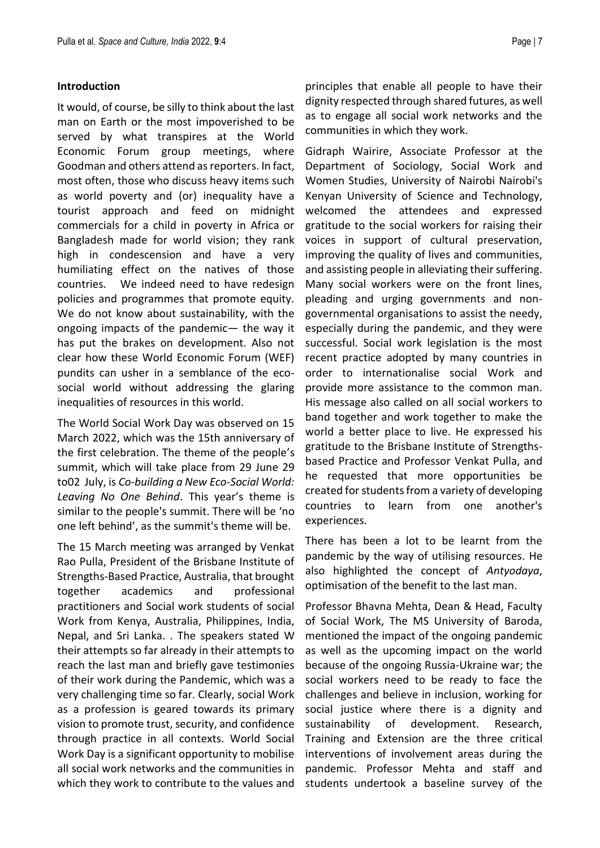### **Introduction**

It would, of course, be silly to think about the last man on Earth or the most impoverished to be served by what transpires at the World Economic Forum group meetings, where Goodman and others attend as reporters. In fact, most often, those who discuss heavy items such as world poverty and (or) inequality have a tourist approach and feed on midnight commercials for a child in poverty in Africa or Bangladesh made for world vision; they rank high in condescension and have a very humiliating effect on the natives of those countries. We indeed need to have redesign policies and programmes that promote equity. We do not know about sustainability, with the ongoing impacts of the pandemic— the way it has put the brakes on development. Also not clear how these World Economic Forum (WEF) pundits can usher in a semblance of the ecosocial world without addressing the glaring inequalities of resources in this world.

The World Social Work Day was observed on 15 March 2022, which was the 15th anniversary of the first celebration. The theme of the people's summit, which will take place from 29 June 29 to02 July, is *Co-building a New Eco-Social World: Leaving No One Behind*. This year's theme is similar to the people's summit. There will be 'no one left behind', as the summit's theme will be.

The 15 March meeting was arranged by Venkat Rao Pulla, President of the Brisbane Institute of Strengths-Based Practice, Australia, that brought together academics and professional practitioners and Social work students of social Work from Kenya, Australia, Philippines, India, Nepal, and Sri Lanka. . The speakers stated W their attempts so far already in their attempts to reach the last man and briefly gave testimonies of their work during the Pandemic, which was a very challenging time so far. Clearly, social Work as a profession is geared towards its primary vision to promote trust, security, and confidence through practice in all contexts. World Social Work Day is a significant opportunity to mobilise all social work networks and the communities in which they work to contribute to the values and principles that enable all people to have their dignity respected through shared futures, as well as to engage all social work networks and the communities in which they work.

Gidraph Wairire, Associate Professor at the Department of Sociology, Social Work and Women Studies, University of Nairobi Nairobi's Kenyan University of Science and Technology, welcomed the attendees and expressed gratitude to the social workers for raising their voices in support of cultural preservation, improving the quality of lives and communities, and assisting people in alleviating their suffering. Many social workers were on the front lines, pleading and urging governments and nongovernmental organisations to assist the needy, especially during the pandemic, and they were successful. Social work legislation is the most recent practice adopted by many countries in order to internationalise social Work and provide more assistance to the common man. His message also called on all social workers to band together and work together to make the world a better place to live. He expressed his gratitude to the Brisbane Institute of Strengthsbased Practice and Professor Venkat Pulla, and he requested that more opportunities be created for students from a variety of developing countries to learn from one another's experiences.

There has been a lot to be learnt from the pandemic by the way of utilising resources. He also highlighted the concept of *Antyodaya*, optimisation of the benefit to the last man.

Professor Bhavna Mehta, Dean & Head, Faculty of Social Work, The MS University of Baroda, mentioned the impact of the ongoing pandemic as well as the upcoming impact on the world because of the ongoing Russia-Ukraine war; the social workers need to be ready to face the challenges and believe in inclusion, working for social justice where there is a dignity and sustainability of development. Research, Training and Extension are the three critical interventions of involvement areas during the pandemic. Professor Mehta and staff and students undertook a baseline survey of the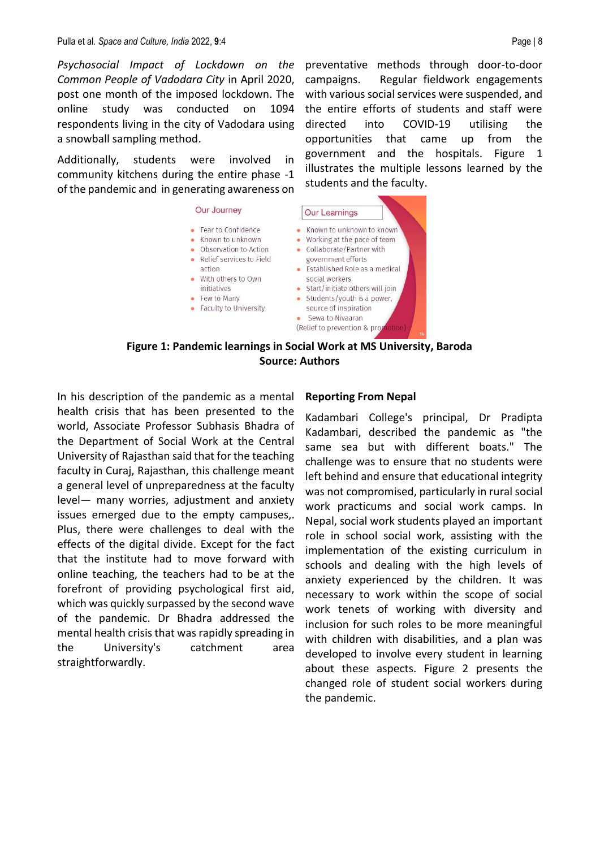*Psychosocial Impact of Lockdown on the Common People of Vadodara City* in April 2020, post one month of the imposed lockdown. The online study was conducted on 1094 respondents living in the city of Vadodara using a snowball sampling method.

Additionally, students were involved in community kitchens during the entire phase -1 of the pandemic and in generating awareness on

#### Our Journey

action

initiatives

• Few to Many

• Fear to Confidence

 $\bullet$  Known to unknown

With others to Own

preventative methods through door-to-door campaigns. Regular fieldwork engagements with various social services were suspended, and the entire efforts of students and staff were directed into COVID-19 utilising the opportunities that came up from the government and the hospitals. Figure 1 illustrates the multiple lessons learned by the students and the faculty.



**Figure 1: Pandemic learnings in Social Work at MS University, Baroda Source: Authors**

In his description of the pandemic as a mental health crisis that has been presented to the world, Associate Professor Subhasis Bhadra of the Department of Social Work at the Central University of Rajasthan said that for the teaching faculty in Curaj, Rajasthan, this challenge meant a general level of unpreparedness at the faculty level— many worries, adjustment and anxiety issues emerged due to the empty campuses,. Plus, there were challenges to deal with the effects of the digital divide. Except for the fact that the institute had to move forward with online teaching, the teachers had to be at the forefront of providing psychological first aid, which was quickly surpassed by the second wave of the pandemic. Dr Bhadra addressed the mental health crisis that was rapidly spreading in the University's catchment area straightforwardly.

#### **Reporting From Nepal**

Kadambari College's principal, Dr Pradipta Kadambari, described the pandemic as "the same sea but with different boats." The challenge was to ensure that no students were left behind and ensure that educational integrity was not compromised, particularly in rural social work practicums and social work camps. In Nepal, social work students played an important role in school social work, assisting with the implementation of the existing curriculum in schools and dealing with the high levels of anxiety experienced by the children. It was necessary to work within the scope of social work tenets of working with diversity and inclusion for such roles to be more meaningful with children with disabilities, and a plan was developed to involve every student in learning about these aspects. Figure 2 presents the changed role of student social workers during the pandemic.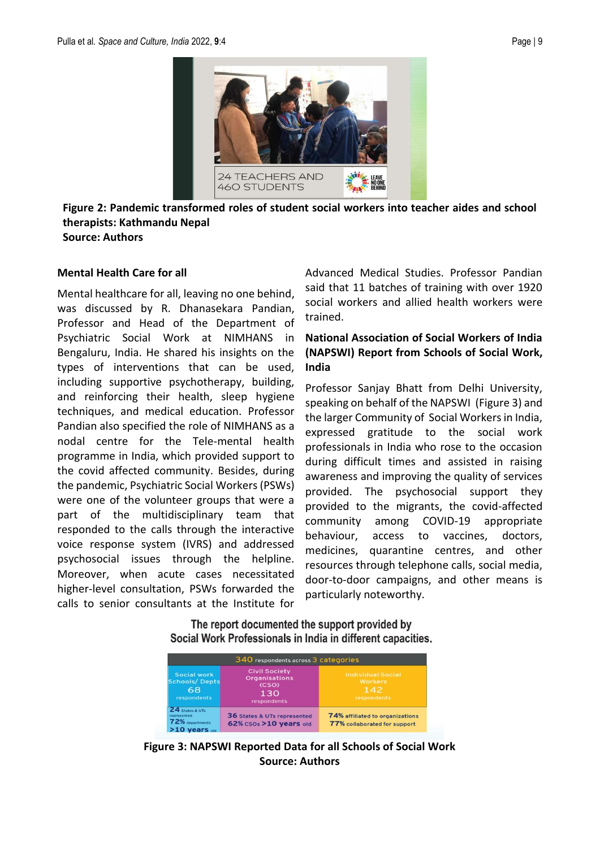

**Figure 2: Pandemic transformed roles of student social workers into teacher aides and school therapists: Kathmandu Nepal Source: Authors**

### **Mental Health Care for all**

Mental healthcare for all, leaving no one behind, was discussed by R. Dhanasekara Pandian, Professor and Head of the Department of Psychiatric Social Work at NIMHANS in Bengaluru, India. He shared his insights on the types of interventions that can be used, including supportive psychotherapy, building, and reinforcing their health, sleep hygiene techniques, and medical education. Professor Pandian also specified the role of NIMHANS as a nodal centre for the Tele-mental health programme in India, which provided support to the covid affected community. Besides, during the pandemic, Psychiatric Social Workers (PSWs) were one of the volunteer groups that were a part of the multidisciplinary team that responded to the calls through the interactive voice response system (IVRS) and addressed psychosocial issues through the helpline. Moreover, when acute cases necessitated higher-level consultation, PSWs forwarded the calls to senior consultants at the Institute for

Advanced Medical Studies. Professor Pandian said that 11 batches of training with over 1920 social workers and allied health workers were trained.

# **National Association of Social Workers of India (NAPSWI) Report from Schools of Social Work, India**

Professor Sanjay Bhatt from Delhi University, speaking on behalf of the NAPSWI (Figure 3) and the larger Community of Social Workers in India, expressed gratitude to the social work professionals in India who rose to the occasion during difficult times and assisted in raising awareness and improving the quality of services provided. The psychosocial support they provided to the migrants, the covid-affected community among COVID-19 appropriate behaviour, access to vaccines, doctors, medicines, quarantine centres, and other resources through telephone calls, social media, door-to-door campaigns, and other means is particularly noteworthy.

The report documented the support provided by Social Work Professionals in India in different capacities.

| 340 respondents across 3 categories                                |                                                                             |                                                                  |
|--------------------------------------------------------------------|-----------------------------------------------------------------------------|------------------------------------------------------------------|
| Social work<br><b>Schools/Depts</b><br>68<br><b>respondents</b>    | <b>Civil Society</b><br><b>Organisations</b><br>(CSO)<br>130<br>respondents | <b>Individual Social</b><br><b>Workers</b><br>142<br>respondents |
| 24 States & UTs<br>represented<br>72% departments<br>>10 years old | 36 States & UTs represented<br>62% csos >10 years old                       | 74% affiliated to organizations<br>77% collaborated for support  |

**Figure 3: NAPSWI Reported Data for all Schools of Social Work Source: Authors**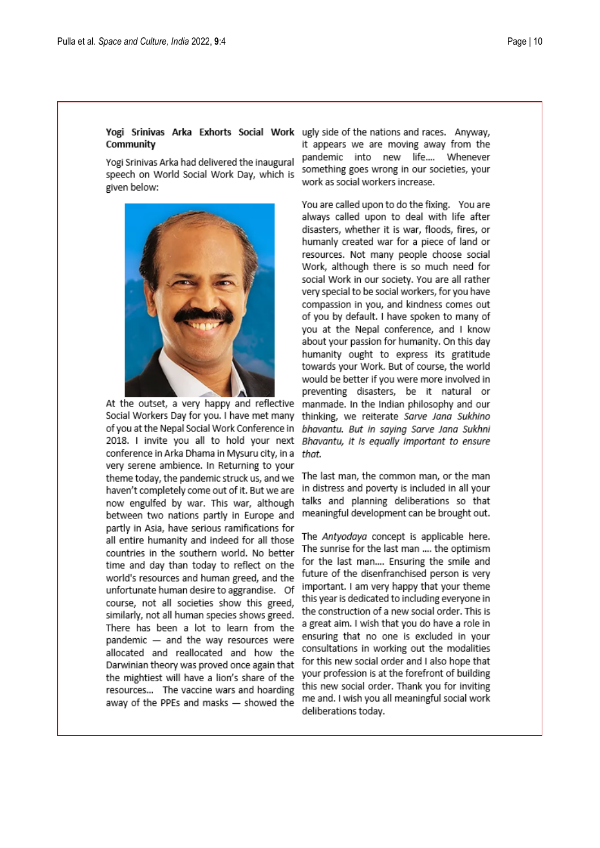# Community

Yogi Srinivas Arka had delivered the inaugural speech on World Social Work Day, which is given below:



At the outset, a very happy and reflective Social Workers Day for you. I have met many of you at the Nepal Social Work Conference in 2018. I invite you all to hold your next conference in Arka Dhama in Mysuru city, in a very serene ambience. In Returning to your theme today, the pandemic struck us, and we haven't completely come out of it. But we are now engulfed by war. This war, although between two nations partly in Europe and partly in Asia, have serious ramifications for all entire humanity and indeed for all those countries in the southern world. No better time and day than today to reflect on the world's resources and human greed, and the unfortunate human desire to aggrandise. Of course, not all societies show this greed, similarly, not all human species shows greed. There has been a lot to learn from the pandemic - and the way resources were allocated and reallocated and how the Darwinian theory was proved once again that the mightiest will have a lion's share of the resources... The vaccine wars and hoarding away of the PPEs and masks - showed the

Yogi Srinivas Arka Exhorts Social Work ugly side of the nations and races. Anyway, it appears we are moving away from the pandemic into new life.... Whenever something goes wrong in our societies, your work as social workers increase.

> You are called upon to do the fixing. You are always called upon to deal with life after disasters, whether it is war, floods, fires, or humanly created war for a piece of land or resources. Not many people choose social Work, although there is so much need for social Work in our society. You are all rather very special to be social workers, for you have compassion in you, and kindness comes out of you by default. I have spoken to many of you at the Nepal conference, and I know about your passion for humanity. On this day humanity ought to express its gratitude towards your Work. But of course, the world would be better if you were more involved in preventing disasters, be it natural or manmade. In the Indian philosophy and our thinking, we reiterate Sarve Jana Sukhino bhavantu. But in saying Sarve Jana Sukhni Bhavantu, it is equally important to ensure that.

> The last man, the common man, or the man in distress and poverty is included in all your talks and planning deliberations so that meaningful development can be brought out.

The Antyodaya concept is applicable here. The sunrise for the last man .... the optimism for the last man.... Ensuring the smile and future of the disenfranchised person is very important. I am very happy that your theme this year is dedicated to including everyone in the construction of a new social order. This is a great aim. I wish that you do have a role in ensuring that no one is excluded in your consultations in working out the modalities for this new social order and I also hope that your profession is at the forefront of building this new social order. Thank you for inviting me and. I wish you all meaningful social work deliberations today.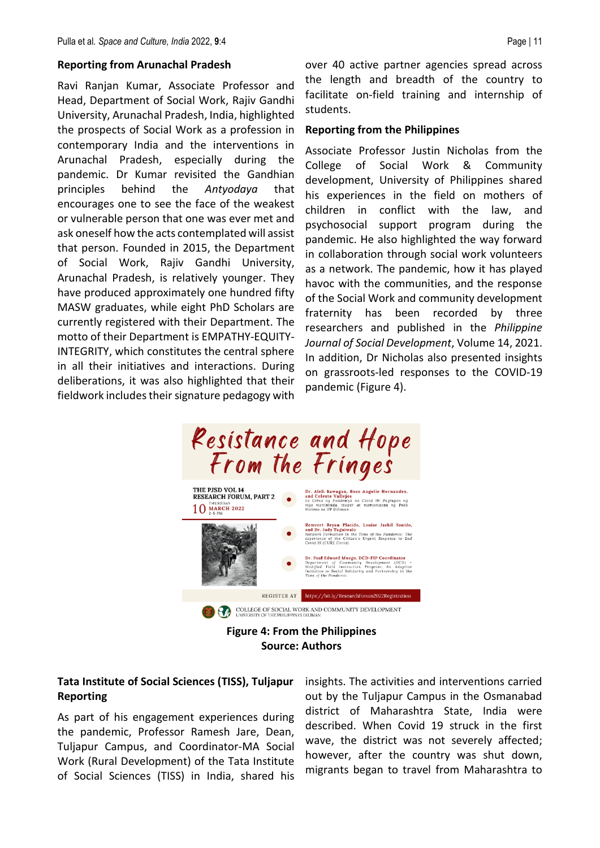#### **Reporting from Arunachal Pradesh**

Ravi Ranjan Kumar, Associate Professor and Head, Department of Social Work, Rajiv Gandhi University, Arunachal Pradesh, India, highlighted the prospects of Social Work as a profession in contemporary India and the interventions in Arunachal Pradesh, especially during the pandemic. Dr Kumar revisited the Gandhian principles behind the *Antyodaya* that encourages one to see the face of the weakest or vulnerable person that one was ever met and ask oneself how the acts contemplated will assist that person. Founded in 2015, the Department of Social Work, Rajiv Gandhi University, Arunachal Pradesh, is relatively younger. They have produced approximately one hundred fifty MASW graduates, while eight PhD Scholars are currently registered with their Department. The motto of their Department is EMPATHY-EQUITY-INTEGRITY, which constitutes the central sphere in all their initiatives and interactions. During deliberations, it was also highlighted that their fieldwork includes their signature pedagogy with

over 40 active partner agencies spread across the length and breadth of the country to facilitate on-field training and internship of students.

#### **Reporting from the Philippines**

Associate Professor Justin Nicholas from the College of Social Work & Community development, University of Philippines shared his experiences in the field on mothers of children in conflict with the law, and psychosocial support program during the pandemic. He also highlighted the way forward in collaboration through social work volunteers as a network. The pandemic, how it has played havoc with the communities, and the response of the Social Work and community development fraternity has been recorded by three researchers and published in the *Philippine Journal of Social Development*, Volume 14, 2021. In addition, Dr Nicholas also presented insights on grassroots-led responses to the COVID-19 pandemic (Figure 4).



**Figure 4: From the Philippines Source: Authors**

# **Tata Institute of Social Sciences (TISS), Tuljapur Reporting**

As part of his engagement experiences during the pandemic, Professor Ramesh Jare, Dean, Tuljapur Campus, and Coordinator-MA Social Work (Rural Development) of the Tata Institute of Social Sciences (TISS) in India, shared his insights. The activities and interventions carried out by the Tuljapur Campus in the Osmanabad district of Maharashtra State, India were described. When Covid 19 struck in the first wave, the district was not severely affected; however, after the country was shut down, migrants began to travel from Maharashtra to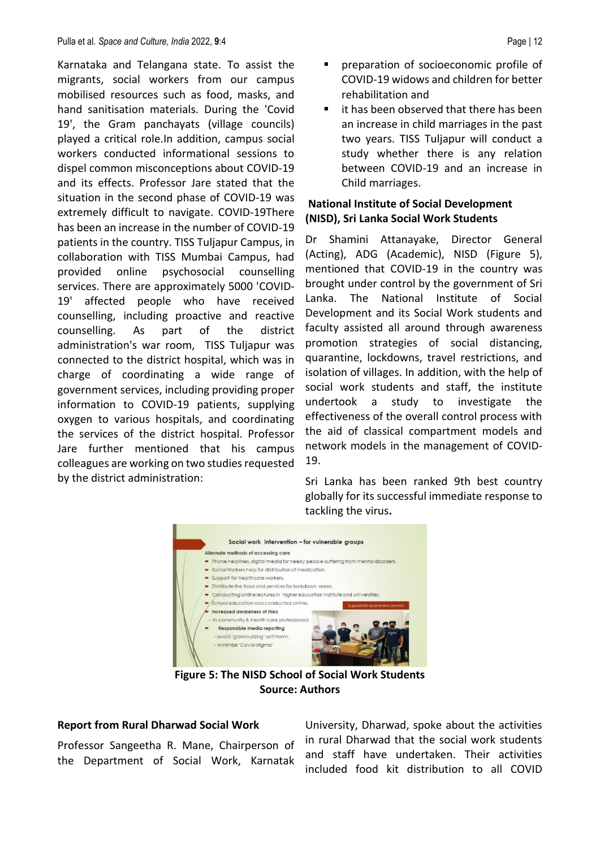Karnataka and Telangana state. To assist the migrants, social workers from our campus mobilised resources such as food, masks, and hand sanitisation materials. During the 'Covid 19', the Gram panchayats (village councils) played a critical role.In addition, campus social workers conducted informational sessions to dispel common misconceptions about COVID-19 and its effects. Professor Jare stated that the situation in the second phase of COVID-19 was extremely difficult to navigate. COVID-19There has been an increase in the number of COVID-19 patients in the country. TISS Tuljapur Campus, in collaboration with TISS Mumbai Campus, had provided online psychosocial counselling services. There are approximately 5000 'COVID-19' affected people who have received counselling, including proactive and reactive counselling. As part of the district administration's war room, TISS Tuljapur was connected to the district hospital, which was in charge of coordinating a wide range of government services, including providing proper information to COVID-19 patients, supplying oxygen to various hospitals, and coordinating the services of the district hospital. Professor Jare further mentioned that his campus colleagues are working on two studies requested by the district administration:

- preparation of socioeconomic profile of COVID-19 widows and children for better rehabilitation and
- it has been observed that there has been an increase in child marriages in the past two years. TISS Tuljapur will conduct a study whether there is any relation between COVID-19 and an increase in Child marriages.

# **National Institute of Social Development (NISD), Sri Lanka Social Work Students**

Dr Shamini Attanayake, Director General (Acting), ADG (Academic), NISD (Figure 5), mentioned that COVID-19 in the country was brought under control by the government of Sri Lanka. The National Institute of Social Development and its Social Work students and faculty assisted all around through awareness promotion strategies of social distancing, quarantine, lockdowns, travel restrictions, and isolation of villages. In addition, with the help of social work students and staff, the institute undertook a study to investigate the effectiveness of the overall control process with the aid of classical compartment models and network models in the management of COVID-19.

Sri Lanka has been ranked 9th best country globally for its successful immediate response to tackling the virus**.** 



**Figure 5: The NISD School of Social Work Students Source: Authors**

# **Report from Rural Dharwad Social Work**

Professor Sangeetha R. Mane, Chairperson of the Department of Social Work, Karnatak

University, Dharwad, spoke about the activities in rural Dharwad that the social work students and staff have undertaken. Their activities included food kit distribution to all COVID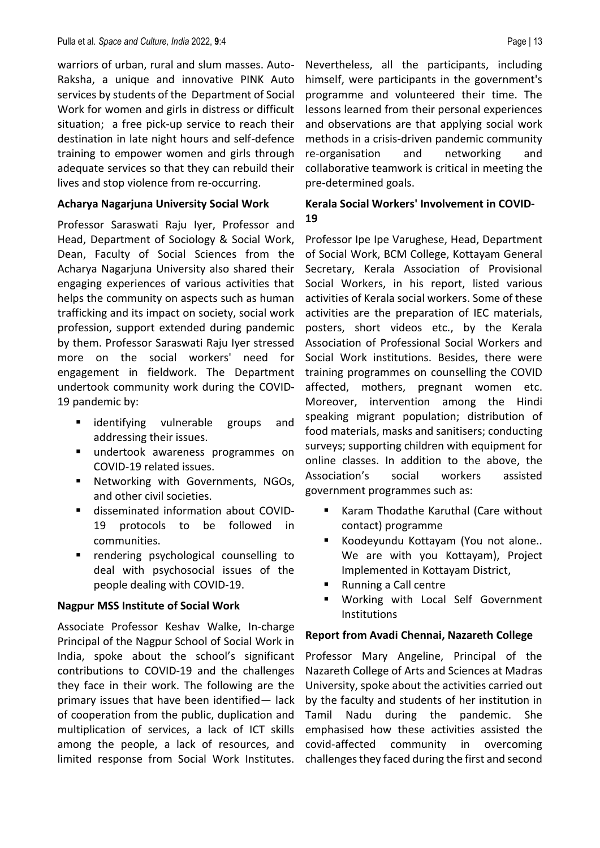warriors of urban, rural and slum masses. Auto-Raksha, a unique and innovative PINK Auto services by students of the Department of Social Work for women and girls in distress or difficult situation; a free pick-up service to reach their destination in late night hours and self-defence training to empower women and girls through adequate services so that they can rebuild their lives and stop violence from re-occurring.

### **Acharya Nagarjuna University Social Work**

Professor Saraswati Raju Iyer, Professor and Head, Department of Sociology & Social Work, Dean, Faculty of Social Sciences from the Acharya Nagarjuna University also shared their engaging experiences of various activities that helps the community on aspects such as human trafficking and its impact on society, social work profession, support extended during pandemic by them. Professor Saraswati Raju Iyer stressed more on the social workers' need for engagement in fieldwork. The Department undertook community work during the COVID-19 pandemic by:

- **E** identifying vulnerable groups and addressing their issues.
- undertook awareness programmes on COVID-19 related issues.
- Networking with Governments, NGOs, and other civil societies.
- disseminated information about COVID-19 protocols to be followed in communities.
- rendering psychological counselling to deal with psychosocial issues of the people dealing with COVID-19.

# **Nagpur MSS Institute of Social Work**

Associate Professor Keshav Walke, In-charge Principal of the Nagpur School of Social Work in India, spoke about the school's significant contributions to COVID-19 and the challenges they face in their work. The following are the primary issues that have been identified— lack of cooperation from the public, duplication and multiplication of services, a lack of ICT skills among the people, a lack of resources, and limited response from Social Work Institutes.

Nevertheless, all the participants, including himself, were participants in the government's programme and volunteered their time. The lessons learned from their personal experiences and observations are that applying social work methods in a crisis-driven pandemic community re-organisation and networking and collaborative teamwork is critical in meeting the pre-determined goals.

# **Kerala Social Workers' Involvement in COVID-19**

Professor Ipe Ipe Varughese, Head, Department of Social Work, BCM College, Kottayam General Secretary, Kerala Association of Provisional Social Workers, in his report, listed various activities of Kerala social workers. Some of these activities are the preparation of IEC materials, posters, short videos etc., by the Kerala Association of Professional Social Workers and Social Work institutions. Besides, there were training programmes on counselling the COVID affected, mothers, pregnant women etc. Moreover, intervention among the Hindi speaking migrant population; distribution of food materials, masks and sanitisers; conducting surveys; supporting children with equipment for online classes. In addition to the above, the Association's social workers assisted government programmes such as:

- Karam Thodathe Karuthal (Care without contact) programme
- Koodeyundu Kottayam (You not alone... We are with you Kottayam), Project Implemented in Kottayam District,
- Running a Call centre
- Working with Local Self Government Institutions

### **Report from Avadi Chennai, Nazareth College**

Professor Mary Angeline, Principal of the Nazareth College of Arts and Sciences at Madras University, spoke about the activities carried out by the faculty and students of her institution in Tamil Nadu during the pandemic. She emphasised how these activities assisted the covid-affected community in overcoming challenges they faced during the first and second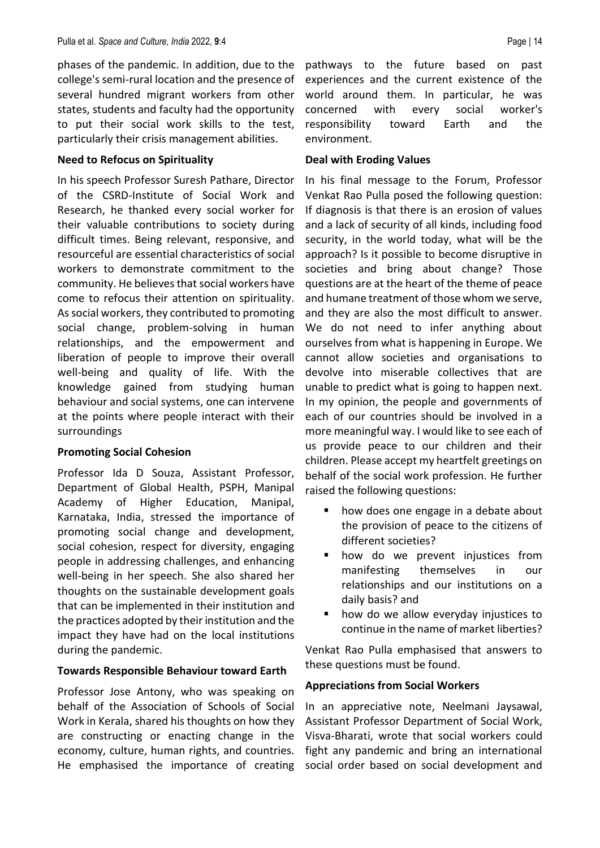phases of the pandemic. In addition, due to the college's semi-rural location and the presence of several hundred migrant workers from other states, students and faculty had the opportunity to put their social work skills to the test, particularly their crisis management abilities.

# **Need to Refocus on Spirituality**

In his speech Professor Suresh Pathare, Director of the CSRD-Institute of Social Work and Research, he thanked every social worker for their valuable contributions to society during difficult times. Being relevant, responsive, and resourceful are essential characteristics of social workers to demonstrate commitment to the community. He believes that social workers have come to refocus their attention on spirituality. As social workers, they contributed to promoting social change, problem-solving in human relationships, and the empowerment and liberation of people to improve their overall well-being and quality of life. With the knowledge gained from studying human behaviour and social systems, one can intervene at the points where people interact with their surroundings

# **Promoting Social Cohesion**

Professor Ida D Souza, Assistant Professor, Department of Global Health, PSPH, Manipal Academy of Higher Education, Manipal, Karnataka, India, stressed the importance of promoting social change and development, social cohesion, respect for diversity, engaging people in addressing challenges, and enhancing well-being in her speech. She also shared her thoughts on the sustainable development goals that can be implemented in their institution and the practices adopted by their institution and the impact they have had on the local institutions during the pandemic.

# **Towards Responsible Behaviour toward Earth**

Professor Jose Antony, who was speaking on behalf of the Association of Schools of Social Work in Kerala, shared his thoughts on how they are constructing or enacting change in the economy, culture, human rights, and countries. He emphasised the importance of creating pathways to the future based on past experiences and the current existence of the world around them. In particular, he was concerned with every social worker's responsibility toward Earth and the environment.

# **Deal with Eroding Values**

In his final message to the Forum, Professor Venkat Rao Pulla posed the following question: If diagnosis is that there is an erosion of values and a lack of security of all kinds, including food security, in the world today, what will be the approach? Is it possible to become disruptive in societies and bring about change? Those questions are at the heart of the theme of peace and humane treatment of those whom we serve, and they are also the most difficult to answer. We do not need to infer anything about ourselves from what is happening in Europe. We cannot allow societies and organisations to devolve into miserable collectives that are unable to predict what is going to happen next. In my opinion, the people and governments of each of our countries should be involved in a more meaningful way. I would like to see each of us provide peace to our children and their children. Please accept my heartfelt greetings on behalf of the social work profession. He further raised the following questions:

- how does one engage in a debate about the provision of peace to the citizens of different societies?
- **·** how do we prevent injustices from manifesting themselves in our relationships and our institutions on a daily basis? and
- how do we allow everyday injustices to continue in the name of market liberties?

Venkat Rao Pulla emphasised that answers to these questions must be found.

# **Appreciations from Social Workers**

In an appreciative note, Neelmani Jaysawal, Assistant Professor Department of Social Work, Visva-Bharati, wrote that social workers could fight any pandemic and bring an international social order based on social development and